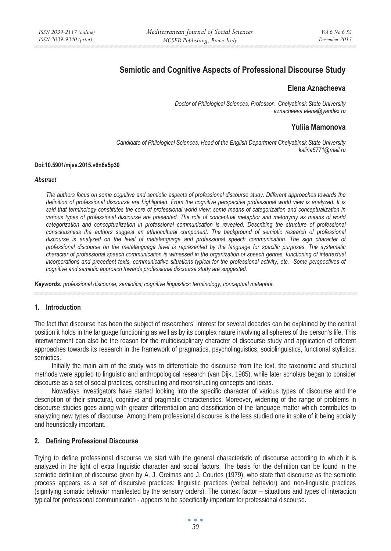# **Semiotic and Cognitive Aspects of Professional Discourse Study**

# **Elena Aznacheeva**

*Doctor of Philological Sciences, Professor, Chelyabinsk State University aznacheeva.elena@yandex.ru* 

# **Yuliia Mamonova**

*Candidate of Philological Sciences, Head of the English Department Chelyabinsk State University kalina5771@mail.ru* 

#### **Doi:10.5901/mjss.2015.v6n6s5p30**

#### *Abstract*

*The authors focus on some cognitive and semiotic aspects of professional discourse study. Different approaches towards the definition of professional discourse are highlighted. From the cognitive perspective professional world view is analyzed. It is said that terminology constitutes the core of professional world view; some means of categorization and conceptualization in*  various types of professional discourse are presented. The role of conceptual metaphor and metonymy as means of world categorization and conceptualization in professional communication is revealed. Describing the structure of professional consciousness the authors suggest an ethnocultural component. The background of semiotic research of professional *discourse is analyzed on the level of metalanguage and professional speech communication. The sign character of professional discourse on the metalanguage level is represented by the language for specific purposes. The systematic character of professional speech communication is witnessed in the organization of speech genres, functioning of intertextual incorporations and precedent texts, communicative situations typical for the professional activity, etc. Some perspectives of cognitive and semiotic approach towards professional discourse study are suggested.* 

*Keywords: professional discourse; semiotics; cognitive linguistics; terminology; conceptual metaphor.*

### **1. Introduction**

The fact that discourse has been the subject of researchers' interest for several decades can be explained by the central position it holds in the language functioning as well as by its complex nature involving all spheres of the person's life. This intertwinement can also be the reason for the multidisciplinary character of discourse study and application of different approaches towards its research in the framework of pragmatics, psycholinguistics, sociolinguistics, functional stylistics, semiotics.

Initially the main aim of the study was to differentiate the discourse from the text, the taxonomic and structural methods were applied to linguistic and anthropological research (van Dijk, 1985), while later scholars began to consider discourse as a set of social practices, constructing and reconstructing concepts and ideas.

Nowadays investigators have started looking into the specific character of various types of discourse and the description of their structural, cognitive and pragmatic characteristics. Moreover, widening of the range of problems in discourse studies goes along with greater differentiation and classification of the language matter which contributes to analyzing new types of discourse. Among them professional discourse is the less studied one in spite of it being socially and heuristically important.

#### **2. Defining Professional Discourse**

Trying to define professional discourse we start with the general characteristic of discourse according to which it is analyzed in the light of extra linguistic character and social factors. The basis for the definition can be found in the semiotic definition of discourse given by A. J. Greimas and J. Courtes (1979), who state that discourse as the semiotic process appears as a set of discursive practices: linguistic practices (verbal behavior) and non-linguistic practices (signifying somatic behavior manifested by the sensory orders). The context factor – situations and types of interaction typical for professional communication - appears to be specifically important for professional discourse.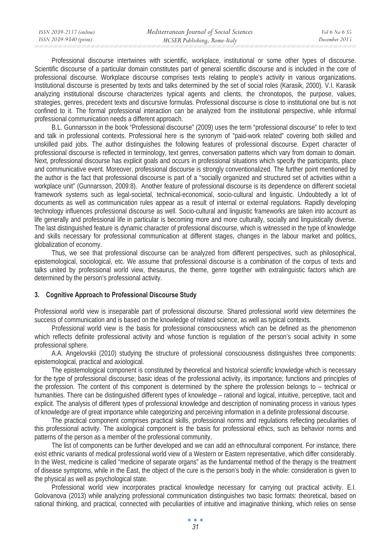| ISSN 2039-2117 (online) | Mediterranean Journal of Social Sciences | Vol 6 No 6 S5 |
|-------------------------|------------------------------------------|---------------|
| ISSN 2039-9340 (print)  | MCSER Publishing, Rome-Italy             | December 2015 |

Professional discourse intertwines with scientific, workplace, institutional or some other types of discourse. Scientific discourse of a particular domain constitutes part of general scientific discourse and is included in the core of professional discourse. Workplace discourse comprises texts relating to people's activity in various organizations. Institutional discourse is presented by texts and talks determined by the set of social roles (Karasik, 2000). V.I. Karasik analyzing institutional discourse characterizes typical agents and clients, the chronotopos, the purpose, values, strategies, genres, precedent texts and discursive formulas. Professional discourse is close to institutional one but is not confined to it. The formal professional interaction can be analyzed from the institutional perspective, while informal professional communication needs a different approach.

B.L. Gunnarsson in the book "Professional discourse" (2009) uses the term "professional discourse" to refer to text and talk in professional contexts. Professional here is the synonym of "paid-work related" covering both skilled and unskilled paid jobs. The author distinguishes the following features of professional discourse. Expert character of professional discourse is reflected in terminology, text genres, conversation patterns which vary from domain to domain. Next, professional discourse has explicit goals and occurs in professional situations which specify the participants, place and communicative event. Moreover, professional discourse is strongly conventionalized. The further point mentioned by the author is the fact that professional discourse is part of a "socially organized and structured set of activities within a workplace unit" (Gunnarsson, 2009:8). Another feature of professional discourse is its dependence on different societal framework systems such as legal-societal, technical-economical, socio-cultural and linguistic. Undoubtedly a lot of documents as well as communication rules appear as a result of internal or external regulations. Rapidly developing technology influences professional discourse as well. Socio-cultural and linguistic frameworks are taken into account as life generally and professional life in particular is becoming more and more culturally, socially and linguistically diverse. The last distinguished feature is dynamic character of professional discourse, which is witnessed in the type of knowledge and skills necessary for professional communication at different stages, changes in the labour market and politics, globalization of economy.

Thus, we see that professional discourse can be analyzed from different perspectives, such as philosophical, epistemological, sociological, etc. We assume that professional discourse is a combination of the corpus of texts and talks united by professional world view, thesaurus, the theme, genre together with extralinguistic factors which are determined by the person's professional activity.

### **3. Cognitive Approach to Professional Discourse Study**

Professional world view is inseparable part of professional discourse. Shared professional world view determines the success of communication and is based on the knowledge of related science, as well as typical contexts.

Professional world view is the basis for professional consciousness which can be defined as the phenomenon which reflects definite professional activity and whose function is regulation of the person's social activity in some professional sphere.

A.A. Angelovskii (2010) studying the structure of professional consciousness distinguishes three components: epistemological, practical and axiological.

The epistemological component is constituted by theoretical and historical scientific knowledge which is necessary for the type of professional discourse; basic ideas of the professional activity, its importance; functions and principles of the profession. The content of this component is determined by the sphere the profession belongs to – technical or humanities. There can be distinguished different types of knowledge – rational and logical, intuitive, perceptive, tacit and explicit. The analysis of different types of professional knowledge and description of nominating process in various types of knowledge are of great importance while categorizing and perceiving information in a definite professional discourse.

The practical component comprises practical skills, professional norms and regulations reflecting peculiarities of this professional activity. The axiological component is the basis for professional ethics, such as behavior norms and patterns of the person as a member of the professional community.

The list of components can be further developed and we can add an ethnocultural component. For instance, there exist ethnic variants of medical professional world view of a Western or Eastern representative, which differ considerably. In the West, medicine is called "medicine of separate organs" as the fundamental method of the therapy is the treatment of disease symptoms, while in the East, the object of the cure is the person's body in the whole: consideration is given to the physical as well as psychological state.

Professional world view incorporates practical knowledge necessary for carrying out practical activity. E.I. Golovanova (2013) while analyzing professional communication distinguishes two basic formats: theoretical, based on rational thinking, and practical, connected with peculiarities of intuitive and imaginative thinking, which relies on sense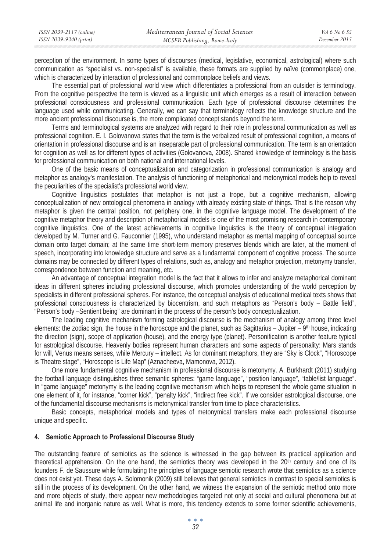| ISSN 2039-2117 (online) | Mediterranean Journal of Social Sciences | Vol 6 No 6 S5 |
|-------------------------|------------------------------------------|---------------|
| ISSN 2039-9340 (print)  | MCSER Publishing, Rome-Italy             | December 2015 |

perception of the environment. In some types of discourses (medical, legislative, economical, astrological) where such communication as "specialist vs. non-specialist" is available, these formats are supplied by naïve (commonplace) one, which is characterized by interaction of professional and commonplace beliefs and views.

The essential part of professional world view which differentiates a professional from an outsider is terminology. From the cognitive perspective the term is viewed as a linguistic unit which emerges as a result of interaction between professional consciousness and professional communication. Each type of professional discourse determines the language used while communicating. Generally, we can say that terminology reflects the knowledge structure and the more ancient professional discourse is, the more complicated concept stands beyond the term.

Terms and terminological systems are analyzed with regard to their role in professional communication as well as professional cognition. E. I. Golovanova states that the term is the verbalized result of professional cognition, a means of orientation in professional discourse and is an inseparable part of professional communication. The term is an orientation for cognition as well as for different types of activities (Golovanova, 2008). Shared knowledge of terminology is the basis for professional communication on both national and international levels.

One of the basic means of conceptualization and categorization in professional communication is analogy and metaphor as analogy's manifestation. The analysis of functioning of metaphorical and metonymical models help to reveal the peculiarities of the specialist's professional world view.

Cognitive linguistics postulates that metaphor is not just a trope, but a cognitive mechanism, allowing conceptualization of new ontological phenomena in analogy with already existing state of things. That is the reason why metaphor is given the central position, not periphery one, in the cognitive language model. The development of the cognitive metaphor theory and description of metaphorical models is one of the most promising research in contemporary cognitive linguistics. One of the latest achievements in cognitive linguistics is the theory of conceptual integration developed by M. Turner and G. Fauconnier (1995), who understand metaphor as mental mapping of conceptual source domain onto target domain; at the same time short-term memory preserves blends which are later, at the moment of speech, incorporating into knowledge structure and serve as a fundamental component of cognitive process. The source domains may be connected by different types of relations, such as, analogy and metaphor projection, metonymy transfer, correspondence between function and meaning, etc.

An advantage of conceptual integration model is the fact that it allows to infer and analyze metaphorical dominant ideas in different spheres including professional discourse, which promotes understanding of the world perception by specialists in different professional spheres. For instance, the conceptual analysis of educational medical texts shows that professional consciousness is characterized by biocentrism, and such metaphors as "Person's body – Battle field", "Person's body –Sentient being" are dominant in the process of the person's body conceptualization.

The leading cognitive mechanism forming astrological discourse is the mechanism of analogy among three level elements: the zodiac sign, the house in the horoscope and the planet, such as Sagittarius – Jupiter –  $9<sup>th</sup>$  house, indicating the direction (sign), scope of application (house), and the energy type (planet). Personification is another feature typical for astrological discourse. Heavenly bodies represent human characters and some aspects of personality: Mars stands for will, Venus means senses, while Mercury – intellect. As for dominant metaphors, they are "Sky is Clock", "Horoscope is Theatre stage", "Horoscope is Life Map" (Aznacheeva, Mamonova, 2012).

One more fundamental cognitive mechanism in professional discourse is metonymy. Ⱥ. Burkhardt (2011) studying the football language distinguishes three semantic spheres: "game language", "position language", "table/list language". In "game language" metonymy is the leading cognitive mechanism which helps to represent the whole game situation in one element of it, for instance, "corner kick", "penalty kick", "indirect free kick". If we consider astrological discourse, one of the fundamental discourse mechanisms is metonymical transfer from time to place characteristics.

Basic concepts, metaphorical models and types of metonymical transfers make each professional discourse unique and specific.

## **4. Semiotic Approach to Professional Discourse Study**

The outstanding feature of semiotics as the science is witnessed in the gap between its practical application and theoretical apprehension. On the one hand, the semiotics theory was developed in the 20<sup>th</sup> century and one of its founders F. de Saussure while formulating the principles of language semiotic research wrote that semiotics as a science does not exist yet. These days A. Solomonik (2009) still believes that general semiotics in contrast to special semiotics is still in the process of its development. On the other hand, we witness the expansion of the semiotic method onto more and more objects of study, there appear new methodologies targeted not only at social and cultural phenomena but at animal life and inorganic nature as well. What is more, this tendency extends to some former scientific achievements,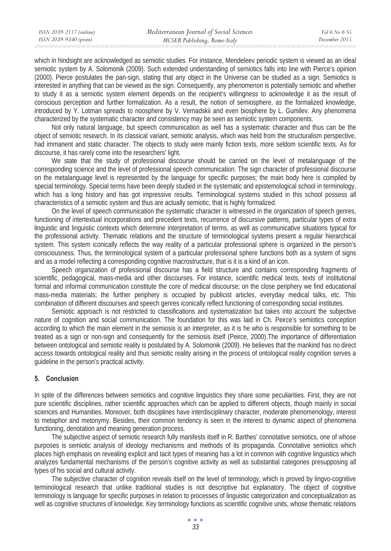which in hindsight are acknowledged as semiotic studies. For instance, Mendeleev periodic system is viewed as an ideal semiotic system by A. Solomonik (2009). Such extended understanding of semiotics falls into line with Pierce's opinion (2000). Pierce postulates the pan-sign, stating that any object in the Universe can be studied as a sign. Semiotics is interested in anything that can be viewed as the sign. Consequently, any phenomenon is potentially semiotic and whether to study it as a semiotic system element depends on the recipient's willingness to acknowledge it as the result of conscious perception and further formalization. As a result, the notion of semiosphere, as the formalized knowledge, introduced by Y. Lotman spreads to noosphere by V. Vernadskii and even biosphere by L. Gumilev. Any phenomena characterized by the systematic character and consistency may be seen as semiotic system components.

Not only natural language, but speech communication as well has a systematic character and thus can be the object of semiotic research. In its classical variant, semiotic analysis, which was held from the structuralism perspective, had immanent and static character. The objects to study were mainly fiction texts, more seldom scientific texts. As for discourse, it has rarely come into the researchers' light.

We state that the study of professional discourse should be carried on the level of metalanguage of the corresponding science and the level of professional speech communication. The sign character of professional discourse on the metalanguage level is represented by the language for specific purposes; the main body here is compiled by special terminology. Special terms have been deeply studied in the systematic and epistemological school in terminology, which has a long history and has got impressive results. Terminological systems studied in this school possess all characteristics of a semiotic system and thus are actually semiotic, that is highly formalized.

On the level of speech communication the systematic character is witnessed in the organization of speech genres, functioning of intertextual incorporations and precedent texts, recurrence of discursive patterns, particular types of extra linguistic and linguistic contexts which determine interpretation of terms, as well as communicative situations typical for the professional activity. Thematic relations and the structure of terminological systems present a regular hierarchical system. This system iconically reflects the way reality of a particular professional sphere is organized in the person's consciousness. Thus, the terminological system of a particular professional sphere functions both as a system of signs and as a model reflecting a corresponding cognitive macrostructure, that is it is a kind of an icon.

Speech organization of professional discourse has a field structure and contains corresponding fragments of scientific, pedagogical, mass-media and other discourses. For instance, scientific medical texts, texts of institutional formal and informal communication constitute the core of medical discourse; on the close periphery we find educational mass-media materials; the further periphery is occupied by publicist articles, everyday medical talks, etc. This combination of different discourses and speech genres iconically reflect functioning of corresponding social institutes.

Semiotic approach is not restricted to classifications and systematization but takes into account the subjective nature of cognition and social communication. The foundation for this was laid in Ch. Peirce's semiotics conception according to which the main element in the semiosis is an interpreter, as it is he who is responsible for something to be treated as a sign or non-sign and consequently for the semiosis itself (Peirce, 2000).The importance of differentiation between ontological and semiotic reality is postulated by A. Solomonik (2009). He believes that the mankind has no direct access towards ontological reality and thus semiotic reality arising in the process of ontological reality cognition serves a guideline in the person's practical activity.

# **5. Conclusion**

In spite of the differences between semiotics and cognitive linguistics they share some peculiarities. First, they are not pure scientific disciplines, rather scientific approaches which can be applied to different objects, though mainly in social sciences and Humanities. Moreover, both disciplines have interdisciplinary character, moderate phenomenology, interest to metaphor and metonymy. Besides, their common tendency is seen in the interest to dynamic aspect of phenomena functioning, denotation and meaning generation process.

The subjective aspect of semiotic research fully manifests itself in R. Barthes' connotative semiotics, one of whose purposes is semiotic analysis of ideology mechanisms and methods of its propaganda. Connotative semiotics which places high emphasis on revealing explicit and tacit types of meaning has a lot in common with cognitive linguistics which analyzes fundamental mechanisms of the person's cognitive activity as well as substantial categories presupposing all types of his social and cultural activity.

The subjective character of cognition reveals itself on the level of terminology, which is proved by lingvo-cognitive terminological research that unlike traditional studies is not descriptive but explanatory. The object of cognitive terminology is language for specific purposes in relation to processes of linguistic categorization and conceptualization as well as cognitive structures of knowledge. Key terminology functions as scientific cognitive units, whose thematic relations